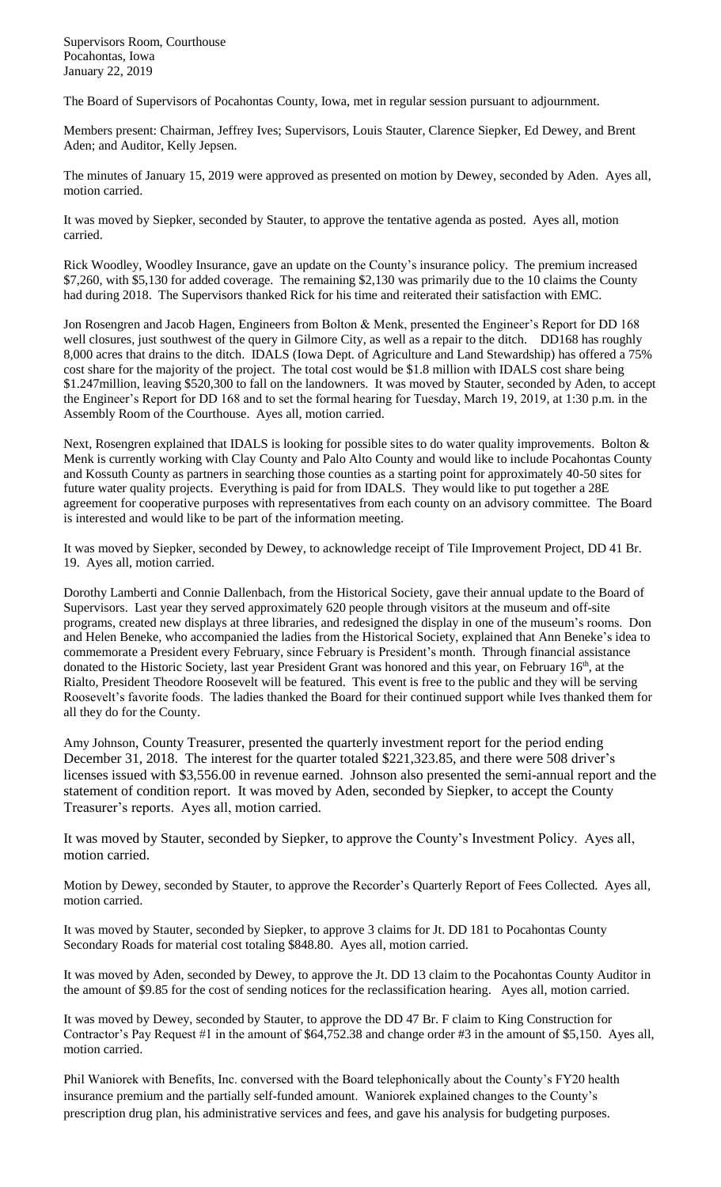Supervisors Room, Courthouse Pocahontas, Iowa January 22, 2019

The Board of Supervisors of Pocahontas County, Iowa, met in regular session pursuant to adjournment.

Members present: Chairman, Jeffrey Ives; Supervisors, Louis Stauter, Clarence Siepker, Ed Dewey, and Brent Aden; and Auditor, Kelly Jepsen.

The minutes of January 15, 2019 were approved as presented on motion by Dewey, seconded by Aden. Ayes all, motion carried.

It was moved by Siepker, seconded by Stauter, to approve the tentative agenda as posted. Ayes all, motion carried.

Rick Woodley, Woodley Insurance, gave an update on the County's insurance policy. The premium increased \$7,260, with \$5,130 for added coverage. The remaining \$2,130 was primarily due to the 10 claims the County had during 2018. The Supervisors thanked Rick for his time and reiterated their satisfaction with EMC.

Jon Rosengren and Jacob Hagen, Engineers from Bolton & Menk, presented the Engineer's Report for DD 168 well closures, just southwest of the query in Gilmore City, as well as a repair to the ditch. DD168 has roughly 8,000 acres that drains to the ditch. IDALS (Iowa Dept. of Agriculture and Land Stewardship) has offered a 75% cost share for the majority of the project. The total cost would be \$1.8 million with IDALS cost share being \$1.247million, leaving \$520,300 to fall on the landowners. It was moved by Stauter, seconded by Aden, to accept the Engineer's Report for DD 168 and to set the formal hearing for Tuesday, March 19, 2019, at 1:30 p.m. in the Assembly Room of the Courthouse. Ayes all, motion carried.

Next, Rosengren explained that IDALS is looking for possible sites to do water quality improvements. Bolton & Menk is currently working with Clay County and Palo Alto County and would like to include Pocahontas County and Kossuth County as partners in searching those counties as a starting point for approximately 40-50 sites for future water quality projects. Everything is paid for from IDALS. They would like to put together a 28E agreement for cooperative purposes with representatives from each county on an advisory committee. The Board is interested and would like to be part of the information meeting.

It was moved by Siepker, seconded by Dewey, to acknowledge receipt of Tile Improvement Project, DD 41 Br. 19. Ayes all, motion carried.

Dorothy Lamberti and Connie Dallenbach, from the Historical Society, gave their annual update to the Board of Supervisors. Last year they served approximately 620 people through visitors at the museum and off-site programs, created new displays at three libraries, and redesigned the display in one of the museum's rooms. Don and Helen Beneke, who accompanied the ladies from the Historical Society, explained that Ann Beneke's idea to commemorate a President every February, since February is President's month. Through financial assistance donated to the Historic Society, last year President Grant was honored and this year, on February 16<sup>th</sup>, at the Rialto, President Theodore Roosevelt will be featured. This event is free to the public and they will be serving Roosevelt's favorite foods. The ladies thanked the Board for their continued support while Ives thanked them for all they do for the County.

Amy Johnson, County Treasurer, presented the quarterly investment report for the period ending December 31, 2018. The interest for the quarter totaled \$221,323.85, and there were 508 driver's licenses issued with \$3,556.00 in revenue earned. Johnson also presented the semi-annual report and the statement of condition report. It was moved by Aden, seconded by Siepker, to accept the County Treasurer's reports. Ayes all, motion carried.

It was moved by Stauter, seconded by Siepker, to approve the County's Investment Policy. Ayes all, motion carried.

Motion by Dewey, seconded by Stauter, to approve the Recorder's Quarterly Report of Fees Collected. Ayes all, motion carried.

It was moved by Stauter, seconded by Siepker, to approve 3 claims for Jt. DD 181 to Pocahontas County Secondary Roads for material cost totaling \$848.80. Ayes all, motion carried.

It was moved by Aden, seconded by Dewey, to approve the Jt. DD 13 claim to the Pocahontas County Auditor in the amount of \$9.85 for the cost of sending notices for the reclassification hearing. Ayes all, motion carried.

It was moved by Dewey, seconded by Stauter, to approve the DD 47 Br. F claim to King Construction for Contractor's Pay Request #1 in the amount of \$64,752.38 and change order #3 in the amount of \$5,150. Ayes all, motion carried.

Phil Waniorek with Benefits, Inc. conversed with the Board telephonically about the County's FY20 health insurance premium and the partially self-funded amount. Waniorek explained changes to the County's prescription drug plan, his administrative services and fees, and gave his analysis for budgeting purposes.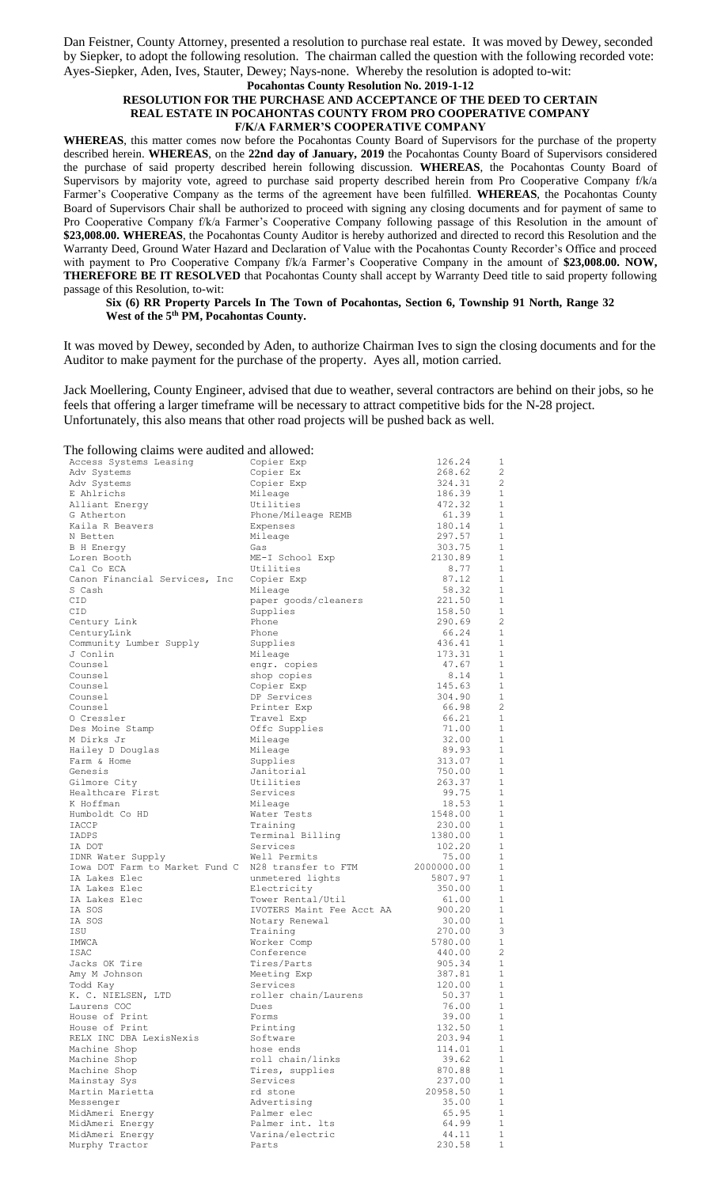Dan Feistner, County Attorney, presented a resolution to purchase real estate. It was moved by Dewey, seconded by Siepker, to adopt the following resolution. The chairman called the question with the following recorded vote: Ayes-Siepker, Aden, Ives, Stauter, Dewey; Nays-none. Whereby the resolution is adopted to-wit:

## **Pocahontas County Resolution No. 2019-1-12 RESOLUTION FOR THE PURCHASE AND ACCEPTANCE OF THE DEED TO CERTAIN REAL ESTATE IN POCAHONTAS COUNTY FROM PRO COOPERATIVE COMPANY F/K/A FARMER'S COOPERATIVE COMPANY**

**WHEREAS**, this matter comes now before the Pocahontas County Board of Supervisors for the purchase of the property described herein. **WHEREAS**, on the **22nd day of January, 2019** the Pocahontas County Board of Supervisors considered the purchase of said property described herein following discussion. **WHEREAS**, the Pocahontas County Board of Supervisors by majority vote, agreed to purchase said property described herein from Pro Cooperative Company f/k/a Farmer's Cooperative Company as the terms of the agreement have been fulfilled. **WHEREAS**, the Pocahontas County Board of Supervisors Chair shall be authorized to proceed with signing any closing documents and for payment of same to Pro Cooperative Company f/k/a Farmer's Cooperative Company following passage of this Resolution in the amount of **\$23,008.00. WHEREAS**, the Pocahontas County Auditor is hereby authorized and directed to record this Resolution and the Warranty Deed, Ground Water Hazard and Declaration of Value with the Pocahontas County Recorder's Office and proceed with payment to Pro Cooperative Company f/k/a Farmer's Cooperative Company in the amount of \$23,008.00. NOW, **THEREFORE BE IT RESOLVED** that Pocahontas County shall accept by Warranty Deed title to said property following passage of this Resolution, to-wit:

## **Six (6) RR Property Parcels In The Town of Pocahontas, Section 6, Township 91 North, Range 32 West of the 5th PM, Pocahontas County.**

It was moved by Dewey, seconded by Aden, to authorize Chairman Ives to sign the closing documents and for the Auditor to make payment for the purchase of the property. Ayes all, motion carried.

Jack Moellering, County Engineer, advised that due to weather, several contractors are behind on their jobs, so he feels that offering a larger timeframe will be necessary to attract competitive bids for the N-28 project. Unfortunately, this also means that other road projects will be pushed back as well.

The following claims were audited and allowed:

| The Tono wing cranno were addred and allow |                           |            |                |
|--------------------------------------------|---------------------------|------------|----------------|
| Access Systems Leasing                     | Copier Exp                | 126.24     | 1              |
| Adv Systems                                | Copier Ex                 | 268.62     | $\overline{c}$ |
| Adv Systems                                | Copier Exp                | 324.31     | -2             |
| E Ahlrichs                                 | Mileage                   | 186.39     | $\mathbf{1}$   |
| Alliant Energy                             | Utilities                 | 472.32     | 1              |
|                                            |                           |            | 1              |
| G Atherton                                 | Phone/Mileage REMB        | 61.39      |                |
| Kaila R Beavers                            | Expenses                  | 180.14     | 1              |
| N Betten                                   | Mileage                   | 297.57     | 1              |
| B H Energy                                 | Gas                       | 303.75     | 1              |
| Loren Booth                                | ME-I School Exp           | 2130.89    | 1              |
| Cal Co ECA                                 | Utilities                 | 8.77       | 1              |
| Canon Financial Services, Inc              | Copier Exp                | 87.12      | $\mathbf{1}$   |
| S Cash                                     | Mileage                   | 58.32      | 1              |
| CID                                        | paper goods/cleaners      | 221.50     | $\mathbf{1}$   |
| CID                                        | Supplies                  | 158.50     | 1              |
| Century Link                               | Phone                     | 290.69     | $\overline{c}$ |
|                                            |                           |            | $\mathbf{1}$   |
| CenturyLink                                | Phone                     | 66.24      |                |
| Community Lumber Supply                    | Supplies                  | 436.41     | $\mathbf{1}$   |
| J Conlin                                   | Mileage                   | 173.31     | 1              |
| Counsel                                    | engr. copies              | 47.67      | $\mathbf{1}$   |
| Counsel                                    | shop copies               | 8.14       | 1              |
| Counsel                                    | Copier Exp                | 145.63     | $\mathbf{1}$   |
| Counsel                                    | DP Services               | 304.90     | $\mathbf{1}$   |
| Counsel                                    | Printer Exp               | 66.98      | $\overline{2}$ |
| O Cressler                                 | Travel Exp                | 66.21      | 1              |
| Des Moine Stamp                            | Offc Supplies             | 71.00      | $\mathbf{1}$   |
| M Dirks Jr                                 |                           | 32.00      | $\mathbf{1}$   |
|                                            | Mileage                   |            | $\mathbf{1}$   |
| Hailey D Douglas                           | Mileage                   | 89.93      |                |
| Farm & Home                                | Supplies                  | 313.07     | 1              |
| Genesis                                    | Janitorial                | 750.00     | $\mathbf{1}$   |
| Gilmore City                               | Utilities                 | 263.37     | 1              |
| Healthcare First                           | Services                  | 99.75      | $\mathbf{1}$   |
| K Hoffman                                  | Mileage                   | 18.53      | 1              |
| Humboldt Co HD                             | Water Tests               | 1548.00    | $\mathbf{1}$   |
| IACCP                                      | Training                  | 230.00     | 1              |
| IADPS                                      | Terminal Billing          | 1380.00    | $\mathbf{1}$   |
| IA DOT                                     | Services                  | 102.20     | 1              |
|                                            | Well Permits              | 75.00      | $\mathbf{1}$   |
| IDNR Water Supply                          |                           |            |                |
| Iowa DOT Farm to Market Fund C             | N28 transfer to FTM       | 2000000.00 | 1              |
| IA Lakes Elec                              | unmetered lights          | 5807.97    | 1              |
| IA Lakes Elec                              | Electricity               | 350.00     | 1              |
| IA Lakes Elec                              | Tower Rental/Util         | 61.00      | 1              |
| IA SOS                                     | IVOTERS Maint Fee Acct AA | 900.20     | 1              |
| IA SOS                                     | Notary Renewal            | 30.00      | 1              |
| ISU                                        | Training                  | 270.00     | 3              |
| IMWCA                                      | Worker Comp               | 5780.00    | 1              |
| <b>TSAC</b>                                | Conference                | 440.00     | $\overline{c}$ |
| Jacks OK Tire                              | Tires/Parts               | 905.34     | 1              |
|                                            | Meeting Exp               | 387.81     | $\mathbf{1}$   |
| Amy M Johnson                              |                           |            |                |
| Todd Kay                                   | Services                  | 120.00     | 1              |
| K. C. NIELSEN, LTD                         | roller chain/Laurens      | 50.37      | 1              |
| Laurens COC                                | Dues                      | 76.00      | $\mathbf{1}$   |
| House of Print                             | Forms                     | 39.00      | $\mathbf 1$    |
| House of Print                             | Printing                  | 132.50     | $\mathbf 1$    |
| RELX INC DBA LexisNexis                    | Software                  | 203.94     | $\mathbf{1}$   |
| Machine Shop                               | hose ends                 | 114.01     | 1              |
| Machine Shop                               | roll chain/links          | 39.62      | $\mathbf 1$    |
| Machine Shop                               | Tires, supplies           | 870.88     | 1              |
|                                            | Services                  |            | $\mathbf{1}$   |
| Mainstay Sys                               |                           | 237.00     |                |
| Martin Marietta                            | rd stone                  | 20958.50   | 1              |
| Messenger                                  | Advertising               | 35.00      | $\mathbf{1}$   |
| MidAmeri Energy                            | Palmer elec               | 65.95      | 1              |
| MidAmeri Energy                            | Palmer int. lts           | 64.99      | $\mathbf 1$    |
| MidAmeri Energy                            | Varina/electric           | 44.11      | 1              |
|                                            |                           |            | $\mathbf{1}$   |